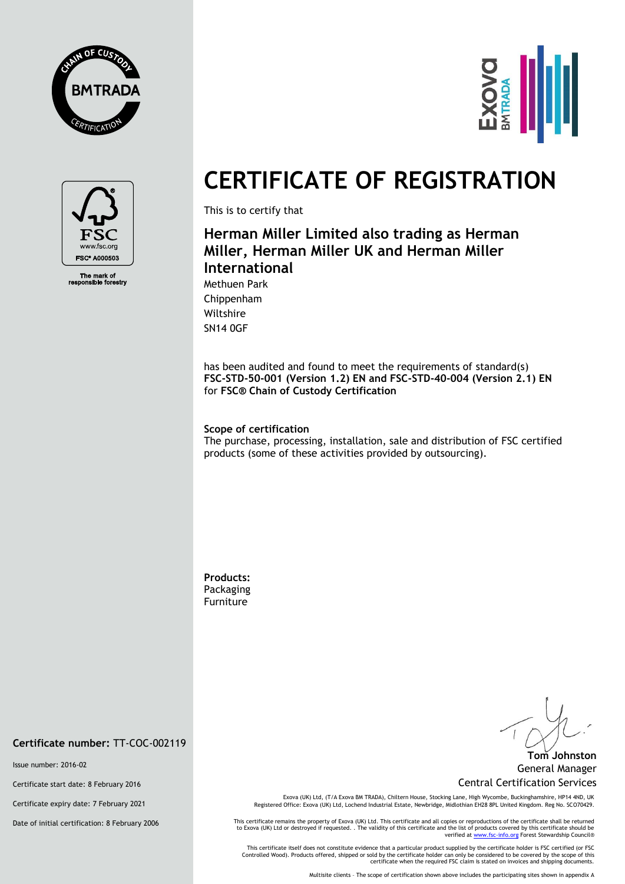





The mark of<br>ponsible fore

# **CERTIFICATE OF REGISTRATION**

This is to certify that

# **Herman Miller Limited also trading as Herman Miller, Herman Miller UK and Herman Miller International**

Methuen Park Chippenham Wiltshire SN14 0GF

has been audited and found to meet the requirements of standard(s) **FSC-STD-50-001 (Version 1.2) EN and FSC-STD-40-004 (Version 2.1) EN** for **FSC® Chain of Custody Certification**

#### **Scope of certification**

The purchase, processing, installation, sale and distribution of FSC certified products (some of these activities provided by outsourcing).

**Products:**  Packaging Furniture

**Tom Johnston** General Manager Central Certification Services

Exova (UK) Ltd, (T/A Exova BM TRADA), Chiltern House, Stocking Lane, High Wycombe, Buckinghamshire, HP14 4ND, UK Registered Office: Exova (UK) Ltd, Lochend Industrial Estate, Newbridge, Midlothian EH28 8PL United Kingdom. Reg No. SCO70429.

This certificate remains the property of Exova (UK) Ltd. This certificate and all copies or reproductions of the certificate shall be returned<br>to Exova (UK) Ltd or destroyed if requested. . The validity of this certificate

This certificate itself does not constitute evidence that a particular product supplied by the certificate holder is FSC certified (or FSC<br>Controlled Wood). Products offered, shipped or sold by the certificate holder can o

Multisite clients – The scope of certification shown above includes the participating sites shown in appendix A

### **Certificate number:** TT-COC-002119

Issue number: 2016-02

Certificate start date: 8 February 2016

Certificate expiry date: 7 February 2021

Date of initial certification: 8 February 2006